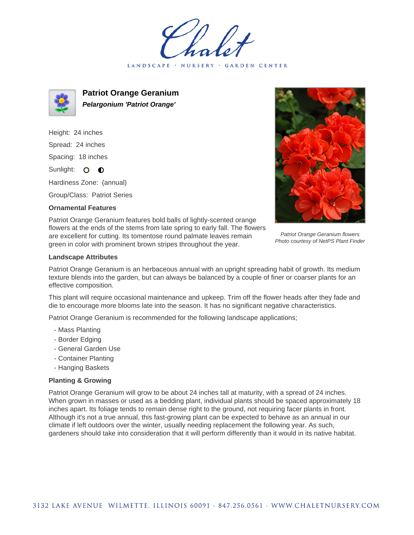LANDSCAPE · NURSERY · GARDEN CENTER



**Patriot Orange Geranium Pelargonium 'Patriot Orange'**

Height: 24 inches Spread: 24 inches Spacing: 18 inches Sunlight: O **O** 

Hardiness Zone: (annual)

Group/Class: Patriot Series

## **Ornamental Features**



Patriot Orange Geranium flowers Photo courtesy of NetPS Plant Finder

Patriot Orange Geranium features bold balls of lightly-scented orange flowers at the ends of the stems from late spring to early fall. The flowers are excellent for cutting. Its tomentose round palmate leaves remain green in color with prominent brown stripes throughout the year.

## **Landscape Attributes**

Patriot Orange Geranium is an herbaceous annual with an upright spreading habit of growth. Its medium texture blends into the garden, but can always be balanced by a couple of finer or coarser plants for an effective composition.

This plant will require occasional maintenance and upkeep. Trim off the flower heads after they fade and die to encourage more blooms late into the season. It has no significant negative characteristics.

Patriot Orange Geranium is recommended for the following landscape applications;

- Mass Planting
- Border Edging
- General Garden Use
- Container Planting
- Hanging Baskets

## **Planting & Growing**

Patriot Orange Geranium will grow to be about 24 inches tall at maturity, with a spread of 24 inches. When grown in masses or used as a bedding plant, individual plants should be spaced approximately 18 inches apart. Its foliage tends to remain dense right to the ground, not requiring facer plants in front. Although it's not a true annual, this fast-growing plant can be expected to behave as an annual in our climate if left outdoors over the winter, usually needing replacement the following year. As such, gardeners should take into consideration that it will perform differently than it would in its native habitat.